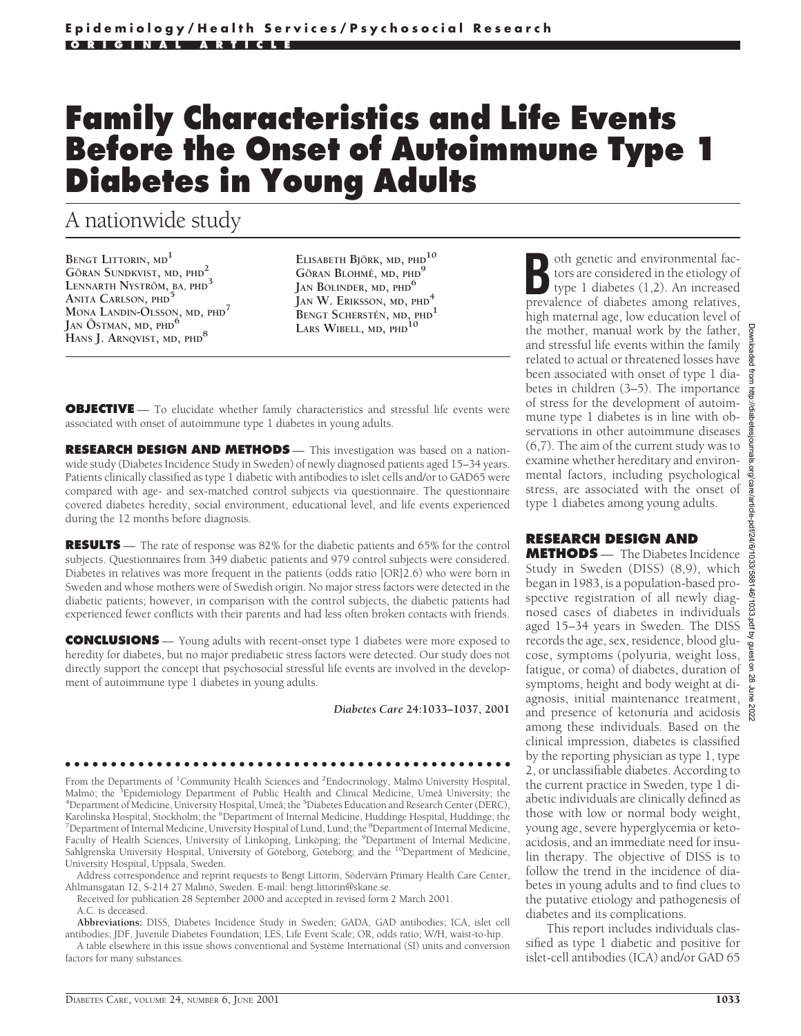# **Family Characteristics and Life Events Before the Onset of Autoimmune Type 1 Diabetes in Young Adults**

## A nationwide study

**BENGT LITTORIN, MD1 G¨ORAN SUNDKVIST, MD, PHD<sup>2</sup> LENNARTH NYSTROM¨ , BA, PHD3 ANITA CARLSON, PHD<sup>5</sup> MONA LANDIN-OLSSON, MD, PHD7 JAN O¨ STMAN, MD, PHD6 HANS J. ARNQVIST, MD, PHD8**

**ELISABETH BJORK ¨ , MD, PHD10 G¨ORAN BLOHME´, MD, PHD9 JAN BOLINDER, MD, PHD6 JAN W. ERIKSSON, MD, PHD4 BENGT SCHERSTEN´ , MD, PHD1 LARS WIBELL, MD, PHD10**

**OBJECTIVE** — To elucidate whether family characteristics and stressful life events were associated with onset of autoimmune type 1 diabetes in young adults.

**RESEARCH DESIGN AND METHODS** — This investigation was based on a nationwide study (Diabetes Incidence Study in Sweden) of newly diagnosed patients aged 15–34 years. Patients clinically classified as type 1 diabetic with antibodies to islet cells and/or to GAD65 were compared with age- and sex-matched control subjects via questionnaire. The questionnaire covered diabetes heredity, social environment, educational level, and life events experienced during the 12 months before diagnosis.

**RESULTS** — The rate of response was 82% for the diabetic patients and 65% for the control subjects. Questionnaires from 349 diabetic patients and 979 control subjects were considered. Diabetes in relatives was more frequent in the patients (odds ratio [OR]2.6) who were born in Sweden and whose mothers were of Swedish origin. No major stress factors were detected in the diabetic patients; however, in comparison with the control subjects, the diabetic patients had experienced fewer conflicts with their parents and had less often broken contacts with friends.

**CONCLUSIONS** — Young adults with recent-onset type 1 diabetes were more exposed to heredity for diabetes, but no major prediabetic stress factors were detected. Our study does not directly support the concept that psychosocial stressful life events are involved in the development of autoimmune type 1 diabetes in young adults.

*Diabetes Care* **24:1033–1037, 2001**

●●●●●●●●●●●●●●●●●●●●●●●●●●●●●●●●●●●●●●●●●●●●●●●●● From the Departments of <sup>1</sup>Community Health Sciences and <sup>2</sup>Endocrinology, Malmö University Hospital, Malmö; the <sup>3</sup>Epidemiology Department of Public Health and Clinical Medicine, Umeå University; the<br><sup>4</sup>Department of Medicine, University Hospital, Umeå: the <sup>5</sup>Diabetes Education and Research Center (DERC) Department of Medicine, University Hospital, Umeå; the <sup>5</sup>Diabetes Education and Research Center (DERC), Karolinska Hospital, Stockholm; the <sup>6</sup>Department of Internal Medicine, Huddinge Hospital, Huddinge; the<br><sup>7</sup>Department of Internal Medicine, University Hospital of Lund, Lund; the <sup>8</sup>Department of Internal Medicine, Department of Internal Medicine, University Hospital of Lund, Lund; the <sup>8</sup>Department of Internal Medicine, Faculty of Health Sciences, University of Linkoping, Linkoping; the <sup>9</sup>Department of Internal Medicine, Sahlgrenska University Hospital, University of Goteborg, Goteborg; and the <sup>10</sup>Department of Medicine, University Hospital, Uppsala, Sweden.

Address correspondence and reprint requests to Bengt Littorin, Södervärn Primary Health Care Center, Ahlmansgatan 12, S-214 27 Malmö, Sweden. E-mail: bengt.littorin@skane.se.

Received for publication 28 September 2000 and accepted in revised form 2 March 2001.

#### A.C. is deceased.

**Abbreviations:** DISS, Diabetes Incidence Study in Sweden; GADA, GAD antibodies; ICA, islet cell antibodies; JDF, Juvenile Diabetes Foundation; LES, Life Event Scale; OR, odds ratio; W/H, waist-to-hip.

A table elsewhere in this issue shows conventional and Système International (SI) units and conversion factors for many substances.

**Booth genetic and environmental fac-**<br>tors are considered in the etiology of<br>type 1 diabetes (1,2). An increased<br>prevalence of diabetes among relatives tors are considered in the etiology of type 1 diabetes (1,2). An increased prevalence of diabetes among relatives, high maternal age, low education level of the mother, manual work by the father, and stressful life events within the family related to actual or threatened losses have been associated with onset of type 1 diabetes in children (3–5). The importance of stress for the development of autoimmune type 1 diabetes is in line with observations in other autoimmune diseases (6,7). The aim of the current study was to examine whether hereditary and environmental factors, including psychological stress, are associated with the onset of type 1 diabetes among young adults.

#### **RESEARCH DESIGN AND**

**METHODS** — The Diabetes Incidence Study in Sweden (DISS) (8,9), which began in 1983, is a population-based prospective registration of all newly diagnosed cases of diabetes in individuals aged 15–34 years in Sweden. The DISS records the age, sex, residence, blood glucose, symptoms (polyuria, weight loss, fatigue, or coma) of diabetes, duration of symptoms, height and body weight at diagnosis, initial maintenance treatment, and presence of ketonuria and acidosis among these individuals. Based on the clinical impression, diabetes is classified by the reporting physician as type 1, type 2, or unclassifiable diabetes. According to the current practice in Sweden, type 1 diabetic individuals are clinically defined as those with low or normal body weight, young age, severe hyperglycemia or ketoacidosis, and an immediate need for insulin therapy. The objective of DISS is to follow the trend in the incidence of diabetes in young adults and to find clues to the putative etiology and pathogenesis of diabetes and its complications.

This report includes individuals classified as type 1 diabetic and positive for islet-cell antibodies (ICA) and/or GAD 65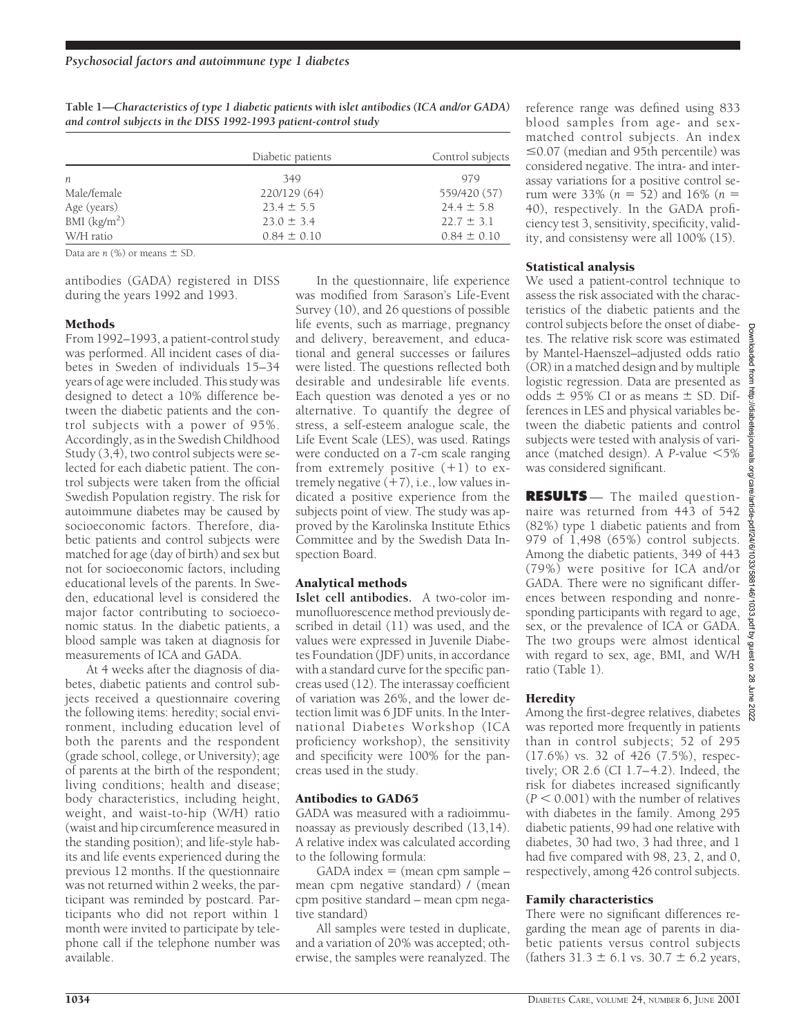|               | Diabetic patients | Control subjects |
|---------------|-------------------|------------------|
| n             | 349               | 979              |
| Male/female   | 220/129 (64)      | 559/420 (57)     |
| Age (years)   | $23.4 \pm 5.5$    | $24.4 \pm 5.8$   |
| BMI $(kg/m2)$ | $23.0 \pm 3.4$    | $22.7 \pm 3.1$   |
| W/H ratio     | $0.84 \pm 0.10$   | $0.84 \pm 0.10$  |

**Table 1—***Characteristics of type 1 diabetic patients with islet antibodies (ICA and/or GADA) and control subjects in the DISS 1992-1993 patient-control study*

Data are  $n$  (%) or means  $\pm$  SD.

antibodies (GADA) registered in DISS during the years 1992 and 1993.

#### Methods

From 1992–1993, a patient-control study was performed. All incident cases of diabetes in Sweden of individuals 15–34 years of age were included. This study was designed to detect a 10% difference between the diabetic patients and the control subjects with a power of 95%. Accordingly, as in the Swedish Childhood Study (3,4), two control subjects were selected for each diabetic patient. The control subjects were taken from the official Swedish Population registry. The risk for autoimmune diabetes may be caused by socioeconomic factors. Therefore, diabetic patients and control subjects were matched for age (day of birth) and sex but not for socioeconomic factors, including educational levels of the parents. In Sweden, educational level is considered the major factor contributing to socioeconomic status. In the diabetic patients, a blood sample was taken at diagnosis for measurements of ICA and GADA.

At 4 weeks after the diagnosis of diabetes, diabetic patients and control subjects received a questionnaire covering the following items: heredity; social environment, including education level of both the parents and the respondent (grade school, college, or University); age of parents at the birth of the respondent; living conditions; health and disease; body characteristics, including height, weight, and waist-to-hip (W/H) ratio (waist and hip circumference measured in the standing position); and life-style habits and life events experienced during the previous 12 months. If the questionnaire was not returned within 2 weeks, the participant was reminded by postcard. Participants who did not report within 1 month were invited to participate by telephone call if the telephone number was available.

In the questionnaire, life experience was modified from Sarason's Life-Event Survey (10), and 26 questions of possible life events, such as marriage, pregnancy and delivery, bereavement, and educational and general successes or failures were listed. The questions reflected both desirable and undesirable life events. Each question was denoted a yes or no alternative. To quantify the degree of stress, a self-esteem analogue scale, the Life Event Scale (LES), was used. Ratings were conducted on a 7-cm scale ranging from extremely positive  $(+1)$  to extremely negative  $(+7)$ , i.e., low values indicated a positive experience from the subjects point of view. The study was approved by the Karolinska Institute Ethics Committee and by the Swedish Data Inspection Board.

### Analytical methods

**Islet cell antibodies.** A two-color immunofluorescence method previously described in detail (11) was used, and the values were expressed in Juvenile Diabetes Foundation (JDF) units, in accordance with a standard curve for the specific pancreas used (12). The interassay coefficient of variation was 26%, and the lower detection limit was 6 JDF units. In the International Diabetes Workshop (ICA proficiency workshop), the sensitivity and specificity were 100% for the pancreas used in the study.

#### Antibodies to GAD65

GADA was measured with a radioimmunoassay as previously described (13,14). A relative index was calculated according to the following formula:

 $GADA$  index  $=$  (mean cpm sample  $$ mean cpm negative standard) / (mean cpm positive standard – mean cpm negative standard)

All samples were tested in duplicate, and a variation of 20% was accepted; otherwise, the samples were reanalyzed. The reference range was defined using 833 blood samples from age- and sexmatched control subjects. An index  $\leq$ 0.07 (median and 95th percentile) was considered negative. The intra- and interassay variations for a positive control serum were 33% ( $n = 52$ ) and 16% ( $n =$ 40), respectively. In the GADA proficiency test 3, sensitivity, specificity, validity, and consistensy were all 100% (15).

#### Statistical analysis

We used a patient-control technique to assess the risk associated with the characteristics of the diabetic patients and the control subjects before the onset of diabetes. The relative risk score was estimated by Mantel-Haenszel–adjusted odds ratio (OR) in a matched design and by multiple logistic regression. Data are presented as odds  $\pm$  95% CI or as means  $\pm$  SD. Differences in LES and physical variables between the diabetic patients and control subjects were tested with analysis of variance (matched design). A *P*-value  $<$  5% was considered significant.

**RESULTS** — The mailed questionnaire was returned from 443 of 542 (82%) type 1 diabetic patients and from 979 of 1,498 (65%) control subjects. Among the diabetic patients, 349 of 443 (79%) were positive for ICA and/or GADA. There were no significant differences between responding and nonresponding participants with regard to age, sex, or the prevalence of ICA or GADA. The two groups were almost identical with regard to sex, age, BMI, and W/H ratio (Table 1).

#### **Heredity**

Among the first-degree relatives, diabetes was reported more frequently in patients than in control subjects; 52 of 295 (17.6%) vs. 32 of 426 (7.5%), respectively; OR 2.6 (CI 1.7–4.2). Indeed, the risk for diabetes increased significantly  $(P < 0.001)$  with the number of relatives with diabetes in the family. Among 295 diabetic patients, 99 had one relative with diabetes, 30 had two, 3 had three, and 1 had five compared with 98, 23, 2, and 0, respectively, among 426 control subjects.

#### Family characteristics

There were no significant differences regarding the mean age of parents in diabetic patients versus control subjects (fathers  $31.3 \pm 6.1$  vs.  $30.7 \pm 6.2$  years,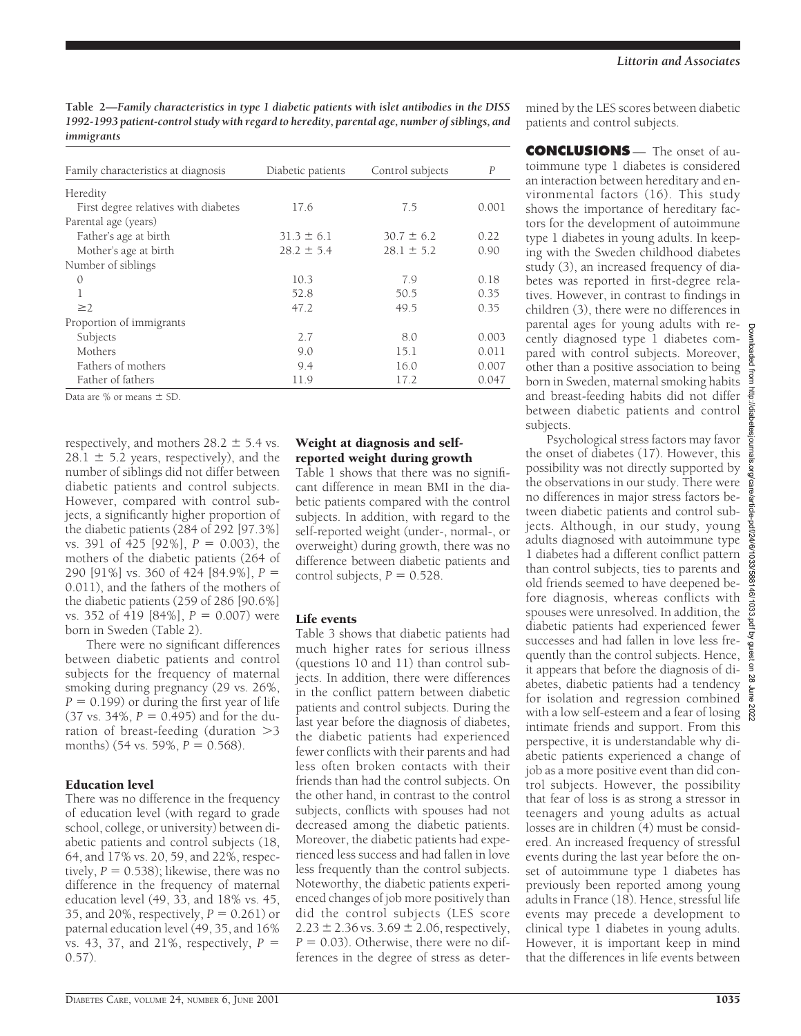**Table 2—***Family characteristics in type 1 diabetic patients with islet antibodies in the DISS 1992-1993 patient-control study with regard to heredity, parental age, number of siblings, and immigrants*

| Family characteristics at diagnosis  | Diabetic patients | Control subjects | $\overline{P}$ |
|--------------------------------------|-------------------|------------------|----------------|
|                                      |                   |                  |                |
| Heredity                             |                   |                  |                |
| First degree relatives with diabetes | 17.6              | 7.5              | 0.001          |
| Parental age (years)                 |                   |                  |                |
| Father's age at birth                | $31.3 \pm 6.1$    | $30.7 \pm 6.2$   | 0.22           |
| Mother's age at birth                | $28.2 \pm 5.4$    | $28.1 \pm 5.2$   | 0.90           |
| Number of siblings                   |                   |                  |                |
| $\mathcal{O}$                        | 10.3              | 7.9              | 0.18           |
| 1                                    | 52.8              | 50.5             | 0.35           |
| $\geq$ 2                             | 47.2              | 49.5             | 0.35           |
| Proportion of immigrants             |                   |                  |                |
| Subjects                             | 2.7               | 8.0              | 0.003          |
| Mothers                              | 9.0               | 15.1             | 0.011          |
| Fathers of mothers                   | 9.4               | 16.0             | 0.007          |
| Father of fathers                    | 11.9              | 17.2             | 0.047          |

Data are  $%$  or means  $\pm$  SD.

respectively, and mothers  $28.2 \pm 5.4$  vs.  $28.1 \pm 5.2$  years, respectively), and the number of siblings did not differ between diabetic patients and control subjects. However, compared with control subjects, a significantly higher proportion of the diabetic patients (284 of 292 [97.3%] vs. 391 of 425 [92%],  $P = 0.003$ ), the mothers of the diabetic patients (264 of 290 [91%] vs. 360 of 424 [84.9%],  $P =$ 0.011), and the fathers of the mothers of the diabetic patients (259 of 286 [90.6%] vs. 352 of 419  $[84\%]$ ,  $P = 0.007$ ) were born in Sweden (Table 2).

There were no significant differences between diabetic patients and control subjects for the frequency of maternal smoking during pregnancy (29 vs. 26%,  $P = 0.199$ ) or during the first year of life  $(37 \text{ vs. } 34\%, P = 0.495)$  and for the duration of breast-feeding (duration  $>3$ months) (54 vs. 59%,  $P = 0.568$ ).

#### Education level

There was no difference in the frequency of education level (with regard to grade school, college, or university) between diabetic patients and control subjects (18, 64, and 17% vs. 20, 59, and 22%, respectively,  $P = 0.538$ ; likewise, there was no difference in the frequency of maternal education level (49, 33, and 18% vs. 45, 35, and 20%, respectively,  $P = 0.261$ ) or paternal education level (49, 35, and 16% vs. 43, 37, and 21%, respectively,  $P =$ 0.57).

#### Weight at diagnosis and selfreported weight during growth

Table 1 shows that there was no significant difference in mean BMI in the diabetic patients compared with the control subjects. In addition, with regard to the self-reported weight (under-, normal-, or overweight) during growth, there was no difference between diabetic patients and control subjects,  $P = 0.528$ .

#### Life events

Table 3 shows that diabetic patients had much higher rates for serious illness (questions 10 and 11) than control subjects. In addition, there were differences in the conflict pattern between diabetic patients and control subjects. During the last year before the diagnosis of diabetes, the diabetic patients had experienced fewer conflicts with their parents and had less often broken contacts with their friends than had the control subjects. On the other hand, in contrast to the control subjects, conflicts with spouses had not decreased among the diabetic patients. Moreover, the diabetic patients had experienced less success and had fallen in love less frequently than the control subjects. Noteworthy, the diabetic patients experienced changes of job more positively than did the control subjects (LES score  $2.23 \pm 2.36$  vs.  $3.69 \pm 2.06$ , respectively,  $P = 0.03$ ). Otherwise, there were no differences in the degree of stress as deter-

mined by the LES scores between diabetic patients and control subjects.

**CONCLUSIONS** — The onset of autoimmune type 1 diabetes is considered an interaction between hereditary and environmental factors (16). This study shows the importance of hereditary factors for the development of autoimmune type 1 diabetes in young adults. In keeping with the Sweden childhood diabetes study (3), an increased frequency of diabetes was reported in first-degree relatives. However, in contrast to findings in children (3), there were no differences in parental ages for young adults with recently diagnosed type 1 diabetes compared with control subjects. Moreover, other than a positive association to being born in Sweden, maternal smoking habits and breast-feeding habits did not differ between diabetic patients and control subjects.

Psychological stress factors may favor the onset of diabetes (17). However, this possibility was not directly supported by the observations in our study. There were no differences in major stress factors between diabetic patients and control subjects. Although, in our study, young adults diagnosed with autoimmune type 1 diabetes had a different conflict pattern than control subjects, ties to parents and old friends seemed to have deepened before diagnosis, whereas conflicts with spouses were unresolved. In addition, the diabetic patients had experienced fewer successes and had fallen in love less frequently than the control subjects. Hence, it appears that before the diagnosis of diabetes, diabetic patients had a tendency for isolation and regression combined  $\frac{1}{8}$ with a low self-esteem and a fear of losing  $\frac{8}{8}$ intimate friends and support. From this perspective, it is understandable why diabetic patients experienced a change of job as a more positive event than did control subjects. However, the possibility that fear of loss is as strong a stressor in teenagers and young adults as actual losses are in children  $(4)$  must be considered. An increased frequency of stressful events during the last year before the onset of autoimmune type 1 diabetes has previously been reported among young adults in France (18). Hence, stressful life events may precede a development to clinical type 1 diabetes in young adults. However, it is important keep in mind that the differences in life events between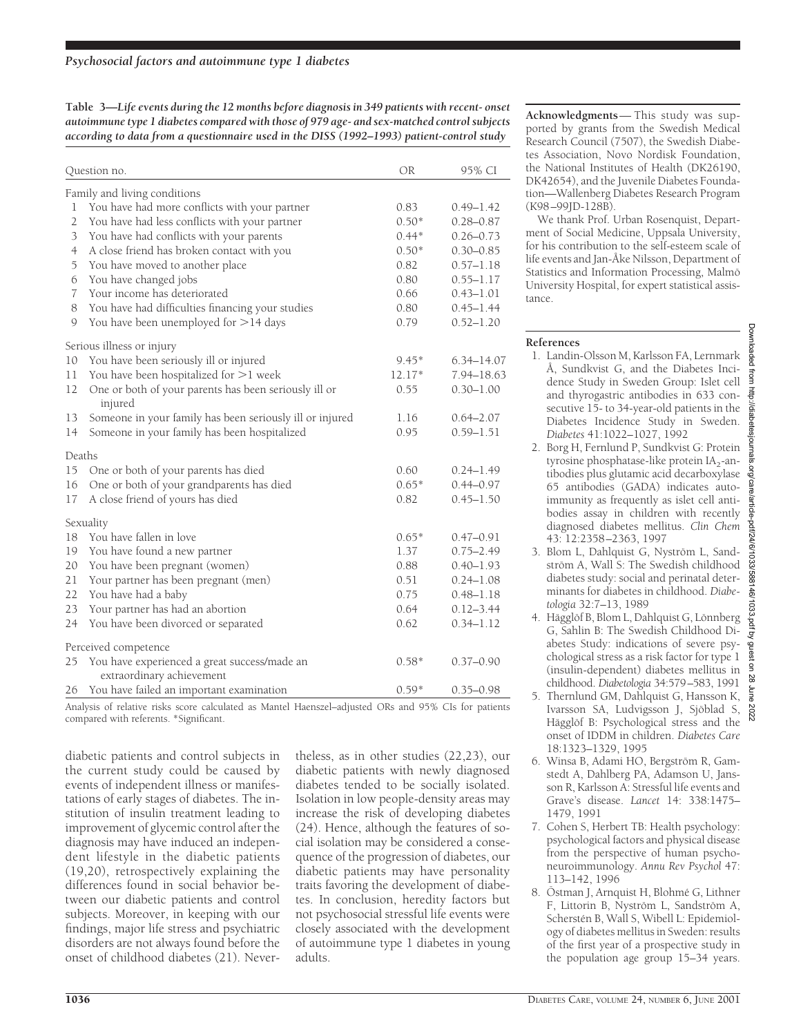**Table 3—***Life events during the 12 months before diagnosis in 349 patients with recent- onset autoimmune type 1 diabetes compared with those of 979 age- and sex-matched control subjects according to data from a questionnaire used in the DISS (1992–1993) patient-control study*

| Family and living conditions<br>You have had more conflicts with your partner<br>0.83<br>1<br>$0.49 - 1.42$<br>$0.50*$<br>2<br>You have had less conflicts with your partner<br>$0.28 - 0.87$<br>You have had conflicts with your parents<br>$0.44*$<br>3<br>$0.26 - 0.73$<br>$0.50*$<br>A close friend has broken contact with you<br>$\overline{4}$<br>$0.30 - 0.85$<br>0.82<br>5<br>You have moved to another place<br>$0.57 - 1.18$<br>0.80<br>6<br>You have changed jobs<br>$0.55 - 1.17$<br>Your income has deteriorated<br>0.66<br>7<br>$0.43 - 1.01$<br>You have had difficulties financing your studies<br>0.80<br>8<br>$0.45 - 1.44$<br>You have been unemployed for >14 days<br>9<br>0.79<br>$0.52 - 1.20$<br>Serious illness or injury<br>You have been seriously ill or injured<br>10<br>$9.45*$<br>$6.34 - 14.07$<br>You have been hospitalized for >1 week<br>11<br>12.17*<br>One or both of your parents has been seriously ill or<br>12<br>0.55<br>$0.30 - 1.00$<br>injured<br>Someone in your family has been seriously ill or injured<br>13<br>1.16<br>$0.64 - 2.07$<br>Someone in your family has been hospitalized<br>0.95<br>14<br>$0.59 - 1.51$<br>Deaths<br>15<br>One or both of your parents has died<br>0.60<br>$0.24 - 1.49$<br>One or both of your grandparents has died<br>$0.65*$<br>16<br>$0.44 - 0.97$<br>A close friend of yours has died<br>0.82<br>17<br>$0.45 - 1.50$<br>Sexuality<br>You have fallen in love<br>$0.65*$<br>18<br>$0.47 - 0.91$<br>You have found a new partner<br>1.37<br>$0.75 - 2.49$<br>19<br>You have been pregnant (women)<br>0.88<br>20<br>$0.40 - 1.93$<br>Your partner has been pregnant (men)<br>21<br>0.51<br>$0.24 - 1.08$<br>0.75<br>22<br>You have had a baby<br>$0.48 - 1.18$<br>Your partner has had an abortion<br>0.64<br>23<br>$0.12 - 3.44$<br>24<br>You have been divorced or separated<br>0.62<br>$0.34 - 1.12$<br>Perceived competence<br>You have experienced a great success/made an<br>$0.58*$<br>25<br>$0.37 - 0.90$<br>extraordinary achievement<br>You have failed an important examination<br>$0.59*$<br>26<br>$0.35 - 0.98$ | Question no. |  | <b>OR</b> | 95% CI     |
|----------------------------------------------------------------------------------------------------------------------------------------------------------------------------------------------------------------------------------------------------------------------------------------------------------------------------------------------------------------------------------------------------------------------------------------------------------------------------------------------------------------------------------------------------------------------------------------------------------------------------------------------------------------------------------------------------------------------------------------------------------------------------------------------------------------------------------------------------------------------------------------------------------------------------------------------------------------------------------------------------------------------------------------------------------------------------------------------------------------------------------------------------------------------------------------------------------------------------------------------------------------------------------------------------------------------------------------------------------------------------------------------------------------------------------------------------------------------------------------------------------------------------------------------------------------------------------------------------------------------------------------------------------------------------------------------------------------------------------------------------------------------------------------------------------------------------------------------------------------------------------------------------------------------------------------------------------------------------------------------------------------------------------------------------------------------------------------------------------------|--------------|--|-----------|------------|
|                                                                                                                                                                                                                                                                                                                                                                                                                                                                                                                                                                                                                                                                                                                                                                                                                                                                                                                                                                                                                                                                                                                                                                                                                                                                                                                                                                                                                                                                                                                                                                                                                                                                                                                                                                                                                                                                                                                                                                                                                                                                                                                |              |  |           |            |
|                                                                                                                                                                                                                                                                                                                                                                                                                                                                                                                                                                                                                                                                                                                                                                                                                                                                                                                                                                                                                                                                                                                                                                                                                                                                                                                                                                                                                                                                                                                                                                                                                                                                                                                                                                                                                                                                                                                                                                                                                                                                                                                |              |  |           |            |
|                                                                                                                                                                                                                                                                                                                                                                                                                                                                                                                                                                                                                                                                                                                                                                                                                                                                                                                                                                                                                                                                                                                                                                                                                                                                                                                                                                                                                                                                                                                                                                                                                                                                                                                                                                                                                                                                                                                                                                                                                                                                                                                |              |  |           |            |
|                                                                                                                                                                                                                                                                                                                                                                                                                                                                                                                                                                                                                                                                                                                                                                                                                                                                                                                                                                                                                                                                                                                                                                                                                                                                                                                                                                                                                                                                                                                                                                                                                                                                                                                                                                                                                                                                                                                                                                                                                                                                                                                |              |  |           |            |
|                                                                                                                                                                                                                                                                                                                                                                                                                                                                                                                                                                                                                                                                                                                                                                                                                                                                                                                                                                                                                                                                                                                                                                                                                                                                                                                                                                                                                                                                                                                                                                                                                                                                                                                                                                                                                                                                                                                                                                                                                                                                                                                |              |  |           |            |
|                                                                                                                                                                                                                                                                                                                                                                                                                                                                                                                                                                                                                                                                                                                                                                                                                                                                                                                                                                                                                                                                                                                                                                                                                                                                                                                                                                                                                                                                                                                                                                                                                                                                                                                                                                                                                                                                                                                                                                                                                                                                                                                |              |  |           |            |
|                                                                                                                                                                                                                                                                                                                                                                                                                                                                                                                                                                                                                                                                                                                                                                                                                                                                                                                                                                                                                                                                                                                                                                                                                                                                                                                                                                                                                                                                                                                                                                                                                                                                                                                                                                                                                                                                                                                                                                                                                                                                                                                |              |  |           |            |
|                                                                                                                                                                                                                                                                                                                                                                                                                                                                                                                                                                                                                                                                                                                                                                                                                                                                                                                                                                                                                                                                                                                                                                                                                                                                                                                                                                                                                                                                                                                                                                                                                                                                                                                                                                                                                                                                                                                                                                                                                                                                                                                |              |  |           |            |
|                                                                                                                                                                                                                                                                                                                                                                                                                                                                                                                                                                                                                                                                                                                                                                                                                                                                                                                                                                                                                                                                                                                                                                                                                                                                                                                                                                                                                                                                                                                                                                                                                                                                                                                                                                                                                                                                                                                                                                                                                                                                                                                |              |  |           |            |
|                                                                                                                                                                                                                                                                                                                                                                                                                                                                                                                                                                                                                                                                                                                                                                                                                                                                                                                                                                                                                                                                                                                                                                                                                                                                                                                                                                                                                                                                                                                                                                                                                                                                                                                                                                                                                                                                                                                                                                                                                                                                                                                |              |  |           |            |
|                                                                                                                                                                                                                                                                                                                                                                                                                                                                                                                                                                                                                                                                                                                                                                                                                                                                                                                                                                                                                                                                                                                                                                                                                                                                                                                                                                                                                                                                                                                                                                                                                                                                                                                                                                                                                                                                                                                                                                                                                                                                                                                |              |  |           |            |
|                                                                                                                                                                                                                                                                                                                                                                                                                                                                                                                                                                                                                                                                                                                                                                                                                                                                                                                                                                                                                                                                                                                                                                                                                                                                                                                                                                                                                                                                                                                                                                                                                                                                                                                                                                                                                                                                                                                                                                                                                                                                                                                |              |  |           |            |
|                                                                                                                                                                                                                                                                                                                                                                                                                                                                                                                                                                                                                                                                                                                                                                                                                                                                                                                                                                                                                                                                                                                                                                                                                                                                                                                                                                                                                                                                                                                                                                                                                                                                                                                                                                                                                                                                                                                                                                                                                                                                                                                |              |  |           | 7.94-18.63 |
|                                                                                                                                                                                                                                                                                                                                                                                                                                                                                                                                                                                                                                                                                                                                                                                                                                                                                                                                                                                                                                                                                                                                                                                                                                                                                                                                                                                                                                                                                                                                                                                                                                                                                                                                                                                                                                                                                                                                                                                                                                                                                                                |              |  |           |            |
|                                                                                                                                                                                                                                                                                                                                                                                                                                                                                                                                                                                                                                                                                                                                                                                                                                                                                                                                                                                                                                                                                                                                                                                                                                                                                                                                                                                                                                                                                                                                                                                                                                                                                                                                                                                                                                                                                                                                                                                                                                                                                                                |              |  |           |            |
|                                                                                                                                                                                                                                                                                                                                                                                                                                                                                                                                                                                                                                                                                                                                                                                                                                                                                                                                                                                                                                                                                                                                                                                                                                                                                                                                                                                                                                                                                                                                                                                                                                                                                                                                                                                                                                                                                                                                                                                                                                                                                                                |              |  |           |            |
|                                                                                                                                                                                                                                                                                                                                                                                                                                                                                                                                                                                                                                                                                                                                                                                                                                                                                                                                                                                                                                                                                                                                                                                                                                                                                                                                                                                                                                                                                                                                                                                                                                                                                                                                                                                                                                                                                                                                                                                                                                                                                                                |              |  |           |            |
|                                                                                                                                                                                                                                                                                                                                                                                                                                                                                                                                                                                                                                                                                                                                                                                                                                                                                                                                                                                                                                                                                                                                                                                                                                                                                                                                                                                                                                                                                                                                                                                                                                                                                                                                                                                                                                                                                                                                                                                                                                                                                                                |              |  |           |            |
|                                                                                                                                                                                                                                                                                                                                                                                                                                                                                                                                                                                                                                                                                                                                                                                                                                                                                                                                                                                                                                                                                                                                                                                                                                                                                                                                                                                                                                                                                                                                                                                                                                                                                                                                                                                                                                                                                                                                                                                                                                                                                                                |              |  |           |            |
|                                                                                                                                                                                                                                                                                                                                                                                                                                                                                                                                                                                                                                                                                                                                                                                                                                                                                                                                                                                                                                                                                                                                                                                                                                                                                                                                                                                                                                                                                                                                                                                                                                                                                                                                                                                                                                                                                                                                                                                                                                                                                                                |              |  |           |            |
|                                                                                                                                                                                                                                                                                                                                                                                                                                                                                                                                                                                                                                                                                                                                                                                                                                                                                                                                                                                                                                                                                                                                                                                                                                                                                                                                                                                                                                                                                                                                                                                                                                                                                                                                                                                                                                                                                                                                                                                                                                                                                                                |              |  |           |            |
|                                                                                                                                                                                                                                                                                                                                                                                                                                                                                                                                                                                                                                                                                                                                                                                                                                                                                                                                                                                                                                                                                                                                                                                                                                                                                                                                                                                                                                                                                                                                                                                                                                                                                                                                                                                                                                                                                                                                                                                                                                                                                                                |              |  |           |            |
|                                                                                                                                                                                                                                                                                                                                                                                                                                                                                                                                                                                                                                                                                                                                                                                                                                                                                                                                                                                                                                                                                                                                                                                                                                                                                                                                                                                                                                                                                                                                                                                                                                                                                                                                                                                                                                                                                                                                                                                                                                                                                                                |              |  |           |            |
|                                                                                                                                                                                                                                                                                                                                                                                                                                                                                                                                                                                                                                                                                                                                                                                                                                                                                                                                                                                                                                                                                                                                                                                                                                                                                                                                                                                                                                                                                                                                                                                                                                                                                                                                                                                                                                                                                                                                                                                                                                                                                                                |              |  |           |            |
|                                                                                                                                                                                                                                                                                                                                                                                                                                                                                                                                                                                                                                                                                                                                                                                                                                                                                                                                                                                                                                                                                                                                                                                                                                                                                                                                                                                                                                                                                                                                                                                                                                                                                                                                                                                                                                                                                                                                                                                                                                                                                                                |              |  |           |            |
|                                                                                                                                                                                                                                                                                                                                                                                                                                                                                                                                                                                                                                                                                                                                                                                                                                                                                                                                                                                                                                                                                                                                                                                                                                                                                                                                                                                                                                                                                                                                                                                                                                                                                                                                                                                                                                                                                                                                                                                                                                                                                                                |              |  |           |            |
|                                                                                                                                                                                                                                                                                                                                                                                                                                                                                                                                                                                                                                                                                                                                                                                                                                                                                                                                                                                                                                                                                                                                                                                                                                                                                                                                                                                                                                                                                                                                                                                                                                                                                                                                                                                                                                                                                                                                                                                                                                                                                                                |              |  |           |            |
|                                                                                                                                                                                                                                                                                                                                                                                                                                                                                                                                                                                                                                                                                                                                                                                                                                                                                                                                                                                                                                                                                                                                                                                                                                                                                                                                                                                                                                                                                                                                                                                                                                                                                                                                                                                                                                                                                                                                                                                                                                                                                                                |              |  |           |            |
|                                                                                                                                                                                                                                                                                                                                                                                                                                                                                                                                                                                                                                                                                                                                                                                                                                                                                                                                                                                                                                                                                                                                                                                                                                                                                                                                                                                                                                                                                                                                                                                                                                                                                                                                                                                                                                                                                                                                                                                                                                                                                                                |              |  |           |            |
|                                                                                                                                                                                                                                                                                                                                                                                                                                                                                                                                                                                                                                                                                                                                                                                                                                                                                                                                                                                                                                                                                                                                                                                                                                                                                                                                                                                                                                                                                                                                                                                                                                                                                                                                                                                                                                                                                                                                                                                                                                                                                                                |              |  |           |            |
|                                                                                                                                                                                                                                                                                                                                                                                                                                                                                                                                                                                                                                                                                                                                                                                                                                                                                                                                                                                                                                                                                                                                                                                                                                                                                                                                                                                                                                                                                                                                                                                                                                                                                                                                                                                                                                                                                                                                                                                                                                                                                                                |              |  |           |            |

Analysis of relative risks score calculated as Mantel Haenszel–adjusted ORs and 95% CIs for patients compared with referents. \*Significant.

diabetic patients and control subjects in the current study could be caused by events of independent illness or manifestations of early stages of diabetes. The institution of insulin treatment leading to improvement of glycemic control after the diagnosis may have induced an independent lifestyle in the diabetic patients (19,20), retrospectively explaining the differences found in social behavior between our diabetic patients and control subjects. Moreover, in keeping with our findings, major life stress and psychiatric disorders are not always found before the onset of childhood diabetes (21). Nevertheless, as in other studies (22,23), our diabetic patients with newly diagnosed diabetes tended to be socially isolated. Isolation in low people-density areas may increase the risk of developing diabetes (24). Hence, although the features of social isolation may be considered a consequence of the progression of diabetes, our diabetic patients may have personality traits favoring the development of diabetes. In conclusion, heredity factors but not psychosocial stressful life events were closely associated with the development of autoimmune type 1 diabetes in young adults.

**Acknowledgments**— This study was supported by grants from the Swedish Medical Research Council (7507), the Swedish Diabetes Association, Novo Nordisk Foundation, the National Institutes of Health (DK26190, DK42654), and the Juvenile Diabetes Foundation—Wallenberg Diabetes Research Program (K98–99JD-128B).

We thank Prof. Urban Rosenquist, Department of Social Medicine, Uppsala University, for his contribution to the self-esteem scale of life events and Jan-Åke Nilsson, Department of Statistics and Information Processing, Malmö University Hospital, for expert statistical assistance.

#### **References**

- 1. Landin-Olsson M, Karlsson FA, Lernmark Å, Sundkvist G, and the Diabetes Incidence Study in Sweden Group: Islet cell and thyrogastric antibodies in 633 consecutive 15- to 34-year-old patients in the Diabetes Incidence Study in Sweden. *Diabetes* 41:1022–1027, 1992
- 2. Borg H, Fernlund P, Sundkvist G: Protein tyrosine phosphatase-like protein  $IA_2$ -antibodies plus glutamic acid decarboxylase 65 antibodies (GADA) indicates autoimmunity as frequently as islet cell antibodies assay in children with recently diagnosed diabetes mellitus. *Clin Chem* 43: 12:2358–2363, 1997
- 3. Blom L, Dahlquist G, Nyström L, Sandström A, Wall S: The Swedish childhood diabetes study: social and perinatal determinants for diabetes in childhood. *Diabetologia* 32:7–13, 1989
- 4. Hägglöf B, Blom L, Dahlquist G, Lönnberg G, Sahlin B: The Swedish Childhood Diabetes Study: indications of severe psychological stress as a risk factor for type 1 (insulin-dependent) diabetes mellitus in childhood. *Diabetologia* 34:579–583, 1991
- 5. Thernlund GM, Dahlquist G, Hansson K, Ivarsson SA, Ludvigsson J, Sjöblad S, Hägglöf B: Psychological stress and the onset of IDDM in children. *Diabetes Care* 18:1323–1329, 1995
- 6. Winsa B, Adami HO, Bergström R, Gamstedt A, Dahlberg PA, Adamson U, Jansson R, Karlsson A: Stressful life events and Grave's disease. *Lancet* 14: 338:1475– 1479, 1991
- 7. Cohen S, Herbert TB: Health psychology: psychological factors and physical disease from the perspective of human psychoneuroimmunology. *Annu Rev Psychol* 47: 113–142, 1996
- 8. Östman J, Arnquist H, Blohmé G, Lithner F, Littorin B, Nyström L, Sandström A, Scherstén B, Wall S, Wibell L: Epidemiology of diabetes mellitus in Sweden: results of the first year of a prospective study in the population age group 15–34 years.